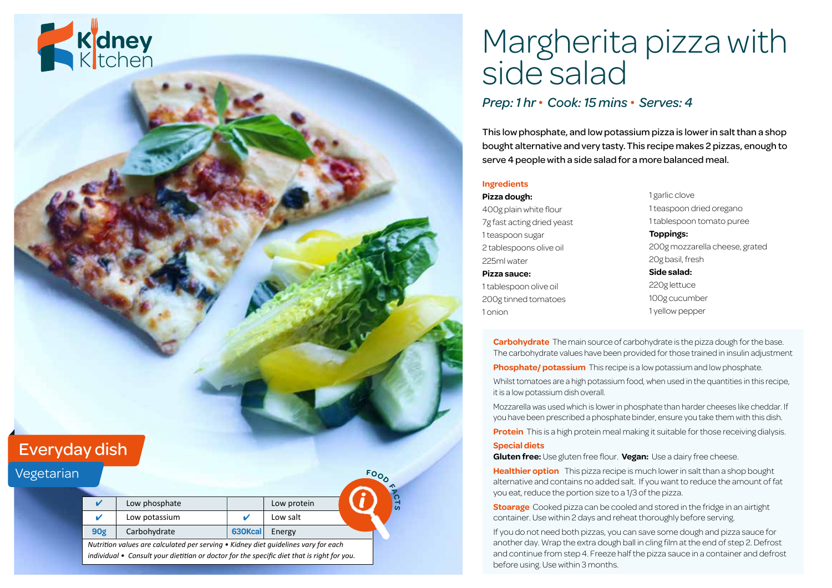

# Margherita pizza with side salad

### *Prep: 1 hr • Cook: 15 mins • Serves: 4*

This low phosphate, and low potassium pizza is lower in salt than a shop bought alternative and very tasty. This recipe makes 2 pizzas, enough to serve 4 people with a side salad for a more balanced meal.

#### **Ingredients**

**Pizza dough:** 400g plain white flour 7g fast acting dried yeast 1 teaspoon sugar 2 tablespoons olive oil 225ml water

**Pizza sauce:** 1 tablespoon olive oil 200g tinned tomatoes

1 onion

1 garlic clove 1 teaspoon dried oregano 1 tablespoon tomato puree **Toppings:** 200g mozzarella cheese, grated 20g basil, fresh **Side salad:** 220g lettuce 100g cucumber 1 yellow pepper

**Carbohydrate** The main source of carbohydrate is the pizza dough for the base. The carbohydrate values have been provided for those trained in insulin adjustment

**Phosphate/ potassium** This recipe is a low potassium and low phosphate. Whilst tomatoes are a high potassium food, when used in the quantities in this recipe, it is a low potassium dish overall.

Mozzarella was used which is lower in phosphate than harder cheeses like cheddar. If you have been prescribed a phosphate binder, ensure you take them with this dish.

**Protein** This is a high protein meal making it suitable for those receiving dialysis.

#### **Special diets**

**Gluten free:** Use gluten free flour. **Vegan:** Use a dairy free cheese.

**Healthier option** This pizza recipe is much lower in salt than a shop bought alternative and contains no added salt. If you want to reduce the amount of fat you eat, reduce the portion size to a 1/3 of the pizza.

**Stoarage** Cooked pizza can be cooled and stored in the fridge in an airtight container. Use within 2 days and reheat thoroughly before serving.

If you do not need both pizzas, you can save some dough and pizza sauce for another day. Wrap the extra dough ball in cling film at the end of step 2. Defrost and continue from step 4. Freeze half the pizza sauce in a container and defrost before using. Use within 3 months.

## Everyday dish

| Vegetarian |                                                                                                                                                                                          |               |         |             | $F_{O_{\alpha}}$ |
|------------|------------------------------------------------------------------------------------------------------------------------------------------------------------------------------------------|---------------|---------|-------------|------------------|
|            |                                                                                                                                                                                          |               |         |             |                  |
|            | u                                                                                                                                                                                        | Low phosphate |         | Low protein | $\overline{a}$   |
|            | u                                                                                                                                                                                        | Low potassium |         | Low salt    |                  |
|            | 90 <sub>g</sub>                                                                                                                                                                          | Carbohydrate  | 630Kcal | Energy      |                  |
|            | Nutrition values are calculated per serving $\bullet$ Kidney diet quidelines vary for each<br>individual • Consult your dietitian or doctor for the specific diet that is right for you. |               |         |             |                  |
|            |                                                                                                                                                                                          |               |         |             |                  |